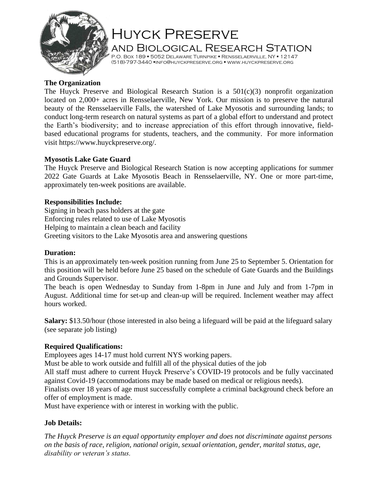

# Huyck Preserve

and Biological Research Station P.O. Box 189 ▪ 5052 Delaware Turnpike ▪ Rensselaerville, NY ▪ 12147 (518)-797-3440 ▪info@huyckpreserve.org ▪ www.huyckpreserve.org

## **The Organization**

The Huyck Preserve and Biological Research Station is a  $501(c)(3)$  nonprofit organization located on 2,000+ acres in Rensselaerville, New York. Our mission is to preserve the natural beauty of the Rensselaerville Falls, the watershed of Lake Myosotis and surrounding lands; to conduct long-term research on natural systems as part of a global effort to understand and protect the Earth's biodiversity; and to increase appreciation of this effort through innovative, fieldbased educational programs for students, teachers, and the community. For more information visit https://www.huyckpreserve.org/.

## **Myosotis Lake Gate Guard**

The Huyck Preserve and Biological Research Station is now accepting applications for summer 2022 Gate Guards at Lake Myosotis Beach in Rensselaerville, NY. One or more part-time, approximately ten-week positions are available.

## **Responsibilities Include:**

Signing in beach pass holders at the gate Enforcing rules related to use of Lake Myosotis Helping to maintain a clean beach and facility Greeting visitors to the Lake Myosotis area and answering questions

#### **Duration:**

This is an approximately ten-week position running from June 25 to September 5. Orientation for this position will be held before June 25 based on the schedule of Gate Guards and the Buildings and Grounds Supervisor.

The beach is open Wednesday to Sunday from 1-8pm in June and July and from 1-7pm in August. Additional time for set-up and clean-up will be required. Inclement weather may affect hours worked.

**Salary:** \$13.50/hour (those interested in also being a lifeguard will be paid at the lifeguard salary (see separate job listing)

#### **Required Qualifications:**

Employees ages 14-17 must hold current NYS working papers.

Must be able to work outside and fulfill all of the physical duties of the job

All staff must adhere to current Huyck Preserve's COVID-19 protocols and be fully vaccinated against Covid-19 (accommodations may be made based on medical or religious needs).

Finalists over 18 years of age must successfully complete a criminal background check before an offer of employment is made.

Must have experience with or interest in working with the public.

# **Job Details:**

*The Huyck Preserve is an equal opportunity employer and does not discriminate against persons on the basis of race, religion, national origin, sexual orientation, gender, marital status, age, disability or veteran's status.*